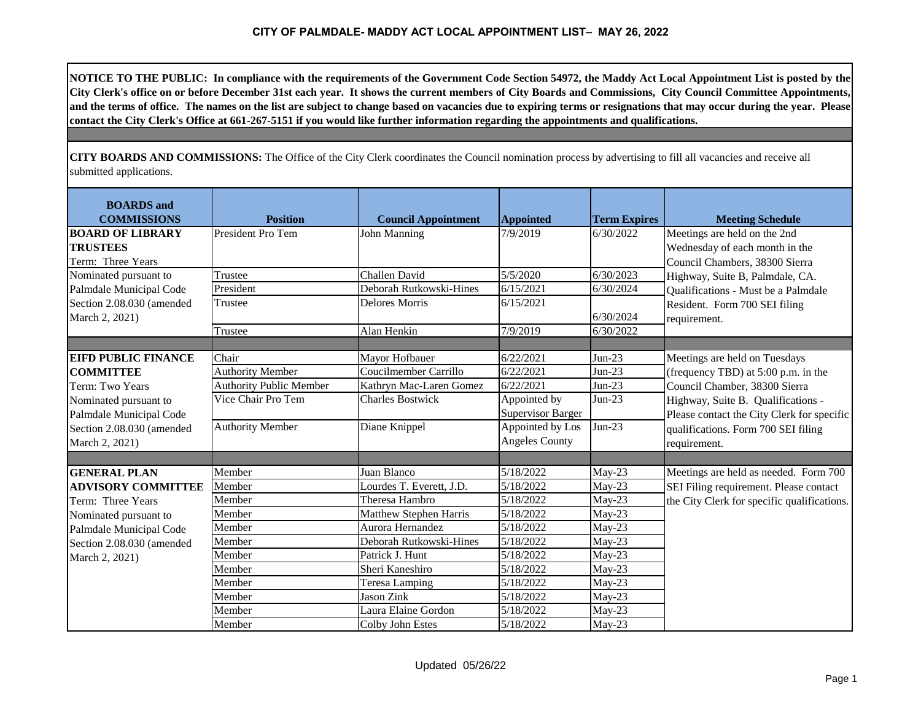NOTICE TO THE PUBLIC: In compliance with the requirements of the Government Code Section 54972, the Maddy Act Local Appointment List is posted by the City Clerk's office on or before December 31st each year. It shows the current members of City Boards and Commissions, City Council Committee Appointments, and the terms of office. The names on the list are subject to change based on vacancies due to expiring terms or resignations that may occur during the year. Please **contact the City Clerk's Office at 661-267-5151 if you would like further information regarding the appointments and qualifications.**

**CITY BOARDS AND COMMISSIONS:** The Office of the City Clerk coordinates the Council nomination process by advertising to fill all vacancies and receive all submitted applications.

| <b>BOARDS</b> and<br><b>COMMISSIONS</b>                         | <b>Position</b>                | <b>Council Appointment</b> | <b>Appointed</b>         | <b>Term Expires</b> | <b>Meeting Schedule</b>                                                                          |
|-----------------------------------------------------------------|--------------------------------|----------------------------|--------------------------|---------------------|--------------------------------------------------------------------------------------------------|
| <b>BOARD OF LIBRARY</b><br><b>TRUSTEES</b><br>Term: Three Years | President Pro Tem              | <b>John Manning</b>        | 7/9/2019                 | 6/30/2022           | Meetings are held on the 2nd<br>Wednesday of each month in the<br>Council Chambers, 38300 Sierra |
| Nominated pursuant to                                           | Trustee                        | Challen David              | 5/5/2020                 | 6/30/2023           | Highway, Suite B, Palmdale, CA.                                                                  |
| Palmdale Municipal Code                                         | President                      | Deborah Rutkowski-Hines    | 6/15/2021                | 6/30/2024           | Qualifications - Must be a Palmdale                                                              |
| Section 2.08.030 (amended<br>March 2, 2021)                     | Trustee                        | <b>Delores Morris</b>      | 6/15/2021                | 6/30/2024           | Resident. Form 700 SEI filing<br>requirement.                                                    |
|                                                                 | Trustee                        | Alan Henkin                | 7/9/2019                 | 6/30/2022           |                                                                                                  |
|                                                                 |                                |                            |                          |                     |                                                                                                  |
| <b>EIFD PUBLIC FINANCE</b>                                      | Chair                          | Mayor Hofbauer             | 6/22/2021                | $Jun-23$            | Meetings are held on Tuesdays                                                                    |
| <b>COMMITTEE</b>                                                | <b>Authority Member</b>        | Coucilmember Carrillo      | 6/22/2021                | $Jun-23$            | (frequency TBD) at 5:00 p.m. in the                                                              |
| Term: Two Years                                                 | <b>Authority Public Member</b> | Kathryn Mac-Laren Gomez    | 6/22/2021                | $Jun-23$            | Council Chamber, 38300 Sierra                                                                    |
| Nominated pursuant to                                           | Vice Chair Pro Tem             | <b>Charles Bostwick</b>    | Appointed by             | $Jun-23$            | Highway, Suite B. Qualifications -                                                               |
| Palmdale Municipal Code                                         |                                |                            | <b>Supervisor Barger</b> |                     | Please contact the City Clerk for specific                                                       |
| Section 2.08.030 (amended                                       | <b>Authority Member</b>        | Diane Knippel              | Appointed by Los         | $Jun-23$            | qualifications. Form 700 SEI filing                                                              |
| March 2, 2021)                                                  |                                |                            | <b>Angeles County</b>    |                     | requirement.                                                                                     |
|                                                                 |                                |                            |                          |                     |                                                                                                  |
| <b>GENERAL PLAN</b>                                             | Member                         | Juan Blanco                | 5/18/2022                | May-23              | Meetings are held as needed. Form 700                                                            |
| <b>ADVISORY COMMITTEE</b>                                       | Member                         | Lourdes T. Everett, J.D.   | 5/18/2022                | $May-23$            | SEI Filing requirement. Please contact                                                           |
| Term: Three Years                                               | Member                         | Theresa Hambro             | 5/18/2022                | May-23              | the City Clerk for specific qualifications.                                                      |
| Nominated pursuant to                                           | Member                         | Matthew Stephen Harris     | 5/18/2022                | $May-23$            |                                                                                                  |
| Palmdale Municipal Code                                         | Member                         | Aurora Hernandez           | 5/18/2022                | $May-23$            |                                                                                                  |
| Section 2.08.030 (amended                                       | Member                         | Deborah Rutkowski-Hines    | 5/18/2022                | $May-23$            |                                                                                                  |
| March 2, 2021)                                                  | Member                         | Patrick J. Hunt            | 5/18/2022                | $May-23$            |                                                                                                  |
|                                                                 | Member                         | Sheri Kaneshiro            | 5/18/2022                | $May-23$            |                                                                                                  |
|                                                                 | Member                         | <b>Teresa Lamping</b>      | 5/18/2022                | $May-23$            |                                                                                                  |
|                                                                 | Member                         | <b>Jason Zink</b>          | 5/18/2022                | $May-23$            |                                                                                                  |
|                                                                 | Member                         | Laura Elaine Gordon        | 5/18/2022                | $May-23$            |                                                                                                  |
|                                                                 | Member                         | Colby John Estes           | 5/18/2022                | $May-23$            |                                                                                                  |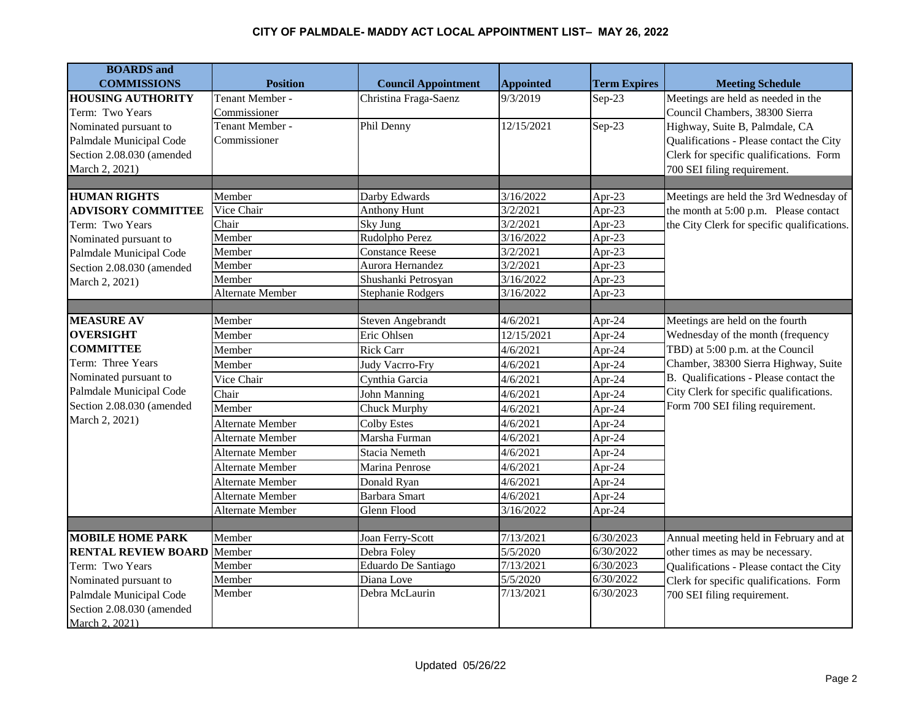| <b>BOARDS</b> and                 |                  |                            |                  |                     |                                             |
|-----------------------------------|------------------|----------------------------|------------------|---------------------|---------------------------------------------|
| <b>COMMISSIONS</b>                | <b>Position</b>  | <b>Council Appointment</b> | <b>Appointed</b> | <b>Term Expires</b> | <b>Meeting Schedule</b>                     |
| <b>HOUSING AUTHORITY</b>          | Tenant Member -  | Christina Fraga-Saenz      | 9/3/2019         | $Sep-23$            | Meetings are held as needed in the          |
| Term: Two Years                   | Commissioner     |                            |                  |                     | Council Chambers, 38300 Sierra              |
| Nominated pursuant to             | Tenant Member -  | Phil Denny                 | 12/15/2021       | $Sep-23$            | Highway, Suite B, Palmdale, CA              |
| Palmdale Municipal Code           | Commissioner     |                            |                  |                     | Qualifications - Please contact the City    |
| Section 2.08.030 (amended         |                  |                            |                  |                     | Clerk for specific qualifications. Form     |
| March 2, 2021)                    |                  |                            |                  |                     | 700 SEI filing requirement.                 |
|                                   |                  |                            |                  |                     |                                             |
| <b>HUMAN RIGHTS</b>               | Member           | Darby Edwards              | 3/16/2022        | Apr-23              | Meetings are held the 3rd Wednesday of      |
| <b>ADVISORY COMMITTEE</b>         | Vice Chair       | <b>Anthony Hunt</b>        | 3/2/2021         | Apr-23              | the month at 5:00 p.m. Please contact       |
| Term: Two Years                   | Chair            | Sky Jung                   | 3/2/2021         | Apr-23              | the City Clerk for specific qualifications. |
| Nominated pursuant to             | Member           | Rudolpho Perez             | 3/16/2022        | Apr-23              |                                             |
| Palmdale Municipal Code           | Member           | <b>Constance Reese</b>     | 3/2/2021         | Apr-23              |                                             |
| Section 2.08.030 (amended         | Member           | Aurora Hernandez           | 3/2/2021         | Apr-23              |                                             |
| March 2, 2021)                    | Member           | Shushanki Petrosyan        | 3/16/2022        | Apr-23              |                                             |
|                                   | Alternate Member | <b>Stephanie Rodgers</b>   | 3/16/2022        | Apr-23              |                                             |
|                                   |                  |                            |                  |                     |                                             |
| <b>MEASURE AV</b>                 | Member           | Steven Angebrandt          | 4/6/2021         | Apr-24              | Meetings are held on the fourth             |
| <b>OVERSIGHT</b>                  | Member           | Eric Ohlsen                | 12/15/2021       | Apr-24              | Wednesday of the month (frequency           |
| <b>COMMITTEE</b>                  | Member           | <b>Rick Carr</b>           | 4/6/2021         | Apr-24              | TBD) at 5:00 p.m. at the Council            |
| Term: Three Years                 | Member           | Judy Vacrro-Fry            | 4/6/2021         | Apr-24              | Chamber, 38300 Sierra Highway, Suite        |
| Nominated pursuant to             | Vice Chair       | Cynthia Garcia             | 4/6/2021         | Apr-24              | B. Qualifications - Please contact the      |
| Palmdale Municipal Code           | Chair            | John Manning               | 4/6/2021         | Apr-24              | City Clerk for specific qualifications.     |
| Section 2.08.030 (amended         | Member           | Chuck Murphy               | 4/6/2021         | Apr-24              | Form 700 SEI filing requirement.            |
| March 2, 2021)                    | Alternate Member | <b>Colby Estes</b>         | 4/6/2021         | Apr-24              |                                             |
|                                   | Alternate Member | Marsha Furman              | 4/6/2021         | Apr-24              |                                             |
|                                   | Alternate Member | Stacia Nemeth              | 4/6/2021         | Apr-24              |                                             |
|                                   | Alternate Member | Marina Penrose             | 4/6/2021         | Apr-24              |                                             |
|                                   | Alternate Member | Donald Ryan                | 4/6/2021         | Apr-24              |                                             |
|                                   | Alternate Member | <b>Barbara Smart</b>       | 4/6/2021         | Apr-24              |                                             |
|                                   | Alternate Member | Glenn Flood                | 3/16/2022        | Apr-24              |                                             |
|                                   |                  |                            |                  |                     |                                             |
| <b>MOBILE HOME PARK</b>           | Member           | Joan Ferry-Scott           | 7/13/2021        | 6/30/2023           | Annual meeting held in February and at      |
| <b>RENTAL REVIEW BOARD Member</b> |                  | Debra Foley                | 5/5/2020         | 6/30/2022           | other times as may be necessary.            |
| Term: Two Years                   | Member           | Eduardo De Santiago        | 7/13/2021        | 6/30/2023           | Qualifications - Please contact the City    |
| Nominated pursuant to             | Member           | Diana Love                 | 5/5/2020         | 6/30/2022           | Clerk for specific qualifications. Form     |
| Palmdale Municipal Code           | Member           | Debra McLaurin             | 7/13/2021        | 6/30/2023           | 700 SEI filing requirement.                 |
| Section 2.08.030 (amended         |                  |                            |                  |                     |                                             |
| March 2, 2021)                    |                  |                            |                  |                     |                                             |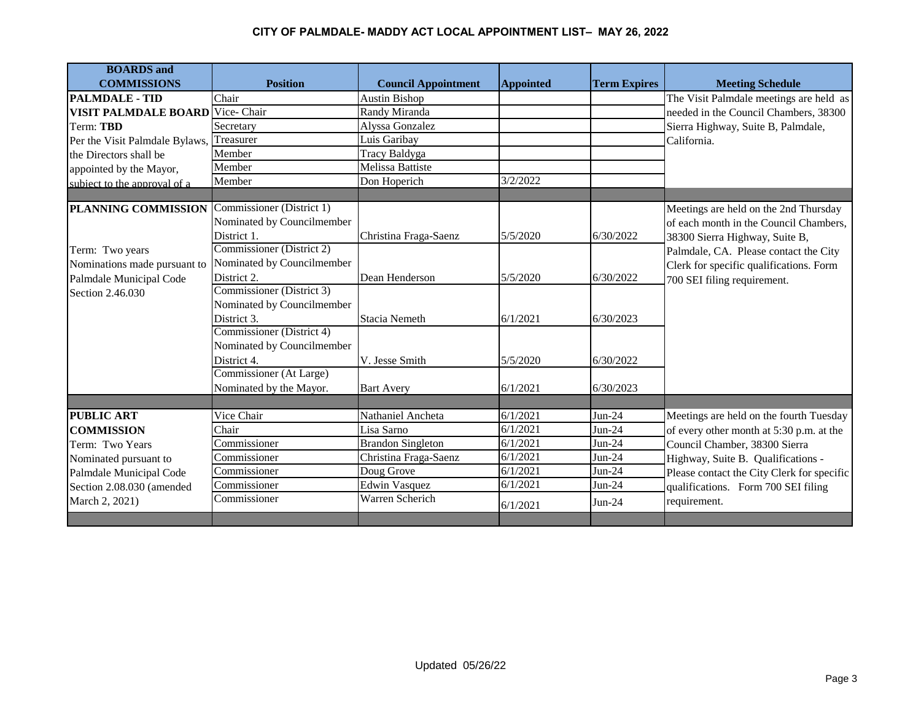| <b>BOARDS</b> and                       |                            |                            |                  |                     |                                            |
|-----------------------------------------|----------------------------|----------------------------|------------------|---------------------|--------------------------------------------|
| <b>COMMISSIONS</b>                      | <b>Position</b>            | <b>Council Appointment</b> | <b>Appointed</b> | <b>Term Expires</b> | <b>Meeting Schedule</b>                    |
| <b>PALMDALE - TID</b>                   | Chair                      | <b>Austin Bishop</b>       |                  |                     | The Visit Palmdale meetings are held as    |
| <b>VISIT PALMDALE BOARD</b> Vice- Chair |                            | Randy Miranda              |                  |                     | needed in the Council Chambers, 38300      |
| Term: TBD                               | Secretary                  | Alyssa Gonzalez            |                  |                     | Sierra Highway, Suite B, Palmdale,         |
| Per the Visit Palmdale Bylaws,          | Treasurer                  | Luis Garibay               |                  |                     | California.                                |
| the Directors shall be                  | Member                     | Tracy Baldyga              |                  |                     |                                            |
| appointed by the Mayor,                 | Member                     | <b>Melissa Battiste</b>    |                  |                     |                                            |
| subject to the approval of a            | Member                     | Don Hoperich               | 3/2/2022         |                     |                                            |
|                                         |                            |                            |                  |                     |                                            |
| PLANNING COMMISSION                     | Commissioner (District 1)  |                            |                  |                     | Meetings are held on the 2nd Thursday      |
|                                         | Nominated by Councilmember |                            |                  |                     | of each month in the Council Chambers,     |
|                                         | District 1.                | Christina Fraga-Saenz      | 5/5/2020         | 6/30/2022           | 38300 Sierra Highway, Suite B,             |
| Term: Two years                         | Commissioner (District 2)  |                            |                  |                     | Palmdale, CA. Please contact the City      |
| Nominations made pursuant to            | Nominated by Councilmember |                            |                  |                     | Clerk for specific qualifications. Form    |
| Palmdale Municipal Code                 | District 2.                | Dean Henderson             | 5/5/2020         | 6/30/2022           | 700 SEI filing requirement.                |
| Section 2.46.030                        | Commissioner (District 3)  |                            |                  |                     |                                            |
|                                         | Nominated by Councilmember |                            |                  |                     |                                            |
|                                         | District 3.                | <b>Stacia Nemeth</b>       | 6/1/2021         | 6/30/2023           |                                            |
|                                         | Commissioner (District 4)  |                            |                  |                     |                                            |
|                                         | Nominated by Councilmember |                            |                  |                     |                                            |
|                                         | District 4.                | V. Jesse Smith             | 5/5/2020         | 6/30/2022           |                                            |
|                                         | Commissioner (At Large)    |                            |                  |                     |                                            |
|                                         | Nominated by the Mayor.    | <b>Bart Avery</b>          | 6/1/2021         | 6/30/2023           |                                            |
|                                         |                            |                            |                  |                     |                                            |
| <b>PUBLIC ART</b>                       | Vice Chair                 | Nathaniel Ancheta          | 6/1/2021         | $Jun-24$            | Meetings are held on the fourth Tuesday    |
| <b>COMMISSION</b>                       | Chair                      | Lisa Sarno                 | 6/1/2021         | $Jun-24$            | of every other month at 5:30 p.m. at the   |
| Term: Two Years                         | Commissioner               | <b>Brandon Singleton</b>   | 6/1/2021         | Jun-24              | Council Chamber, 38300 Sierra              |
| Nominated pursuant to                   | Commissioner               | Christina Fraga-Saenz      | 6/1/2021         | $Jun-24$            | Highway, Suite B. Qualifications -         |
| Palmdale Municipal Code                 | Commissioner               | Doug Grove                 | 6/1/2021         | $Jun-24$            | Please contact the City Clerk for specific |
| Section 2.08.030 (amended               | Commissioner               | <b>Edwin Vasquez</b>       | 6/1/2021         | $Jun-24$            | qualifications. Form 700 SEI filing        |
| March 2, 2021)                          | Commissioner               | Warren Scherich            | 6/1/2021         | $Jun-24$            | requirement.                               |
|                                         |                            |                            |                  |                     |                                            |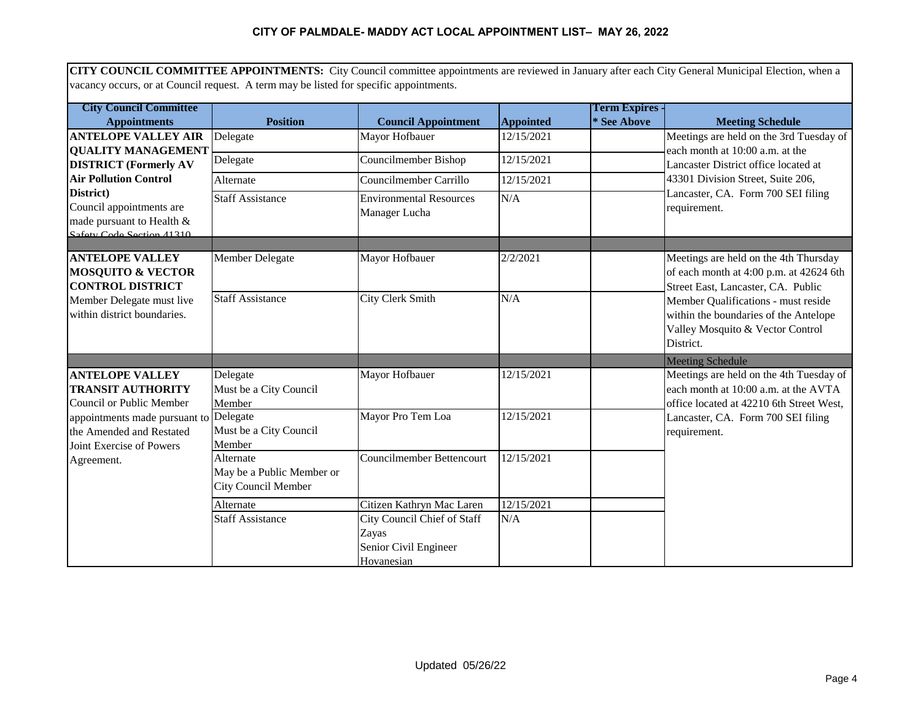**CITY COUNCIL COMMITTEE APPOINTMENTS:** City Council committee appointments are reviewed in January after each City General Municipal Election, when a vacancy occurs, or at Council request. A term may be listed for specific appointments.

| <b>City Council Committee</b>                                      |                            |                                  |                     | <b>Term Expires -</b> |                                                    |
|--------------------------------------------------------------------|----------------------------|----------------------------------|---------------------|-----------------------|----------------------------------------------------|
| <b>Appointments</b>                                                | <b>Position</b>            | <b>Council Appointment</b>       | <b>Appointed</b>    | * See Above           | <b>Meeting Schedule</b>                            |
| <b>ANTELOPE VALLEY AIR</b>                                         | Delegate                   | Mayor Hofbauer                   | 12/15/2021          |                       | Meetings are held on the 3rd Tuesday of            |
| <b>QUALITY MANAGEMENT</b>                                          |                            |                                  |                     |                       | each month at 10:00 a.m. at the                    |
| <b>DISTRICT</b> (Formerly AV                                       | Delegate                   | Councilmember Bishop             | 12/15/2021          |                       | Lancaster District office located at               |
| <b>Air Pollution Control</b>                                       | Alternate                  | Councilmember Carrillo           | 12/15/2021          |                       | 43301 Division Street, Suite 206,                  |
| District)                                                          | <b>Staff Assistance</b>    | <b>Environmental Resources</b>   | N/A                 |                       | Lancaster, CA. Form 700 SEI filing                 |
| Council appointments are                                           |                            | Manager Lucha                    |                     |                       | requirement.                                       |
| made pursuant to Health &<br>Safety Code Section 41310             |                            |                                  |                     |                       |                                                    |
|                                                                    |                            |                                  |                     |                       |                                                    |
| <b>ANTELOPE VALLEY</b>                                             | <b>Member Delegate</b>     | Mayor Hofbauer                   | 2/2/2021            |                       | Meetings are held on the 4th Thursday              |
| <b>MOSQUITO &amp; VECTOR</b>                                       |                            |                                  |                     |                       | of each month at 4:00 p.m. at 42624 6th            |
| <b>CONTROL DISTRICT</b>                                            |                            |                                  |                     |                       | Street East, Lancaster, CA. Public                 |
| Member Delegate must live                                          | <b>Staff Assistance</b>    | <b>City Clerk Smith</b>          | N/A                 |                       | Member Qualifications - must reside                |
| within district boundaries.                                        |                            |                                  |                     |                       | within the boundaries of the Antelope              |
|                                                                    |                            |                                  |                     |                       | Valley Mosquito & Vector Control                   |
|                                                                    |                            |                                  |                     |                       | District.                                          |
|                                                                    |                            |                                  |                     |                       | <b>Meeting Schedule</b>                            |
| <b>ANTELOPE VALLEY</b>                                             | Delegate                   | Mayor Hofbauer                   | 12/15/2021          |                       | Meetings are held on the 4th Tuesday of            |
| <b>TRANSIT AUTHORITY</b>                                           | Must be a City Council     |                                  |                     |                       | each month at 10:00 a.m. at the AVTA               |
| Council or Public Member                                           | Member                     | Mayor Pro Tem Loa                | 12/15/2021          |                       | office located at 42210 6th Street West,           |
| appointments made pursuant to Delegate<br>the Amended and Restated | Must be a City Council     |                                  |                     |                       | Lancaster, CA. Form 700 SEI filing<br>requirement. |
| Joint Exercise of Powers                                           | Member                     |                                  |                     |                       |                                                    |
| Agreement.                                                         | Alternate                  | <b>Councilmember Bettencourt</b> | 12/15/2021          |                       |                                                    |
|                                                                    | May be a Public Member or  |                                  |                     |                       |                                                    |
|                                                                    | <b>City Council Member</b> |                                  |                     |                       |                                                    |
|                                                                    | Alternate                  | Citizen Kathryn Mac Laren        | $\sqrt{12}/15/2021$ |                       |                                                    |
|                                                                    | <b>Staff Assistance</b>    | City Council Chief of Staff      | N/A                 |                       |                                                    |
|                                                                    |                            | Zayas                            |                     |                       |                                                    |
|                                                                    |                            | Senior Civil Engineer            |                     |                       |                                                    |
|                                                                    |                            | Hovanesian                       |                     |                       |                                                    |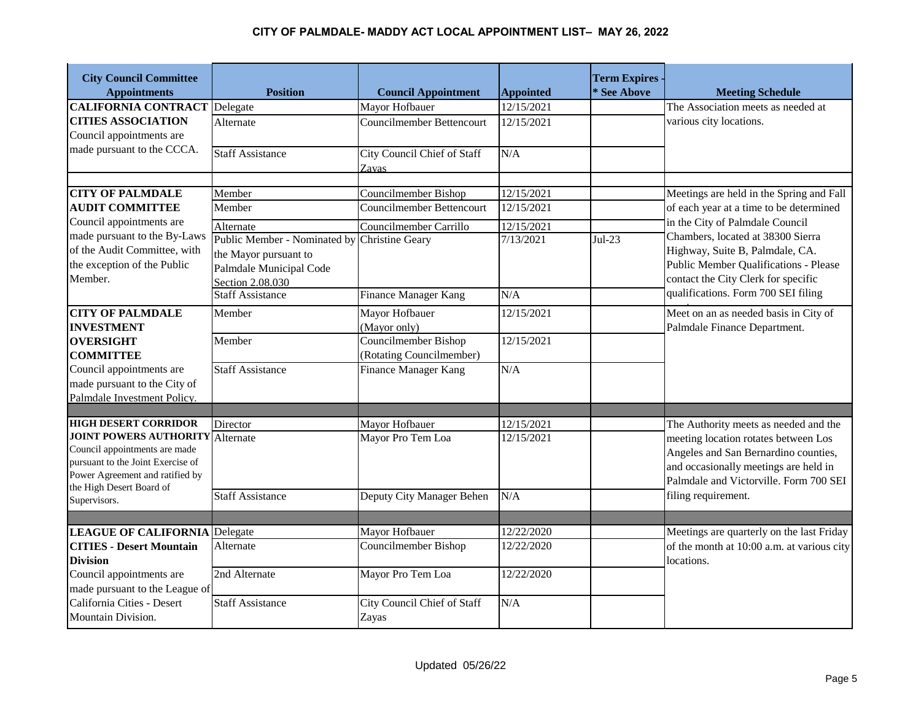| <b>City Council Committee</b><br><b>Appointments</b>                   | <b>Position</b>                              | <b>Council Appointment</b>         | <b>Appointed</b> | <b>Term Expires -</b><br>* See Above | <b>Meeting Schedule</b>                                                         |
|------------------------------------------------------------------------|----------------------------------------------|------------------------------------|------------------|--------------------------------------|---------------------------------------------------------------------------------|
| <b>CALIFORNIA CONTRACT</b> Delegate                                    |                                              | Mayor Hofbauer                     | 12/15/2021       |                                      | The Association meets as needed at                                              |
| <b>CITIES ASSOCIATION</b>                                              | Alternate                                    | Councilmember Bettencourt          | 12/15/2021       |                                      | various city locations.                                                         |
| Council appointments are                                               |                                              |                                    |                  |                                      |                                                                                 |
| made pursuant to the CCCA.                                             | <b>Staff Assistance</b>                      | City Council Chief of Staff        | N/A              |                                      |                                                                                 |
|                                                                        |                                              | Zavas                              |                  |                                      |                                                                                 |
|                                                                        |                                              |                                    |                  |                                      |                                                                                 |
| <b>CITY OF PALMDALE</b>                                                | Member                                       | Councilmember Bishop               | 12/15/2021       |                                      | Meetings are held in the Spring and Fall                                        |
| <b>AUDIT COMMITTEE</b>                                                 | Member                                       | Councilmember Bettencourt          | 12/15/2021       |                                      | of each year at a time to be determined                                         |
| Council appointments are                                               | Alternate                                    | Councilmember Carrillo             | 12/15/2021       |                                      | in the City of Palmdale Council                                                 |
| made pursuant to the By-Laws                                           | Public Member - Nominated by Christine Geary |                                    | 7/13/2021        | $Jul-23$                             | Chambers, located at 38300 Sierra                                               |
| of the Audit Committee, with                                           | the Mayor pursuant to                        |                                    |                  |                                      | Highway, Suite B, Palmdale, CA.                                                 |
| the exception of the Public                                            | Palmdale Municipal Code                      |                                    |                  |                                      | Public Member Qualifications - Please                                           |
| Member.                                                                | Section 2.08.030                             |                                    |                  |                                      | contact the City Clerk for specific                                             |
|                                                                        | <b>Staff Assistance</b>                      | <b>Finance Manager Kang</b>        | N/A              |                                      | qualifications. Form 700 SEI filing                                             |
| <b>CITY OF PALMDALE</b>                                                | Member                                       | Mayor Hofbauer                     | 12/15/2021       |                                      | Meet on an as needed basis in City of                                           |
| <b>INVESTMENT</b>                                                      |                                              | (Mayor only)                       |                  |                                      | Palmdale Finance Department.                                                    |
| <b>OVERSIGHT</b>                                                       | Member                                       | Councilmember Bishop               | 12/15/2021       |                                      |                                                                                 |
| <b>COMMITTEE</b>                                                       |                                              | (Rotating Councilmember)           |                  |                                      |                                                                                 |
| Council appointments are                                               | <b>Staff Assistance</b>                      | Finance Manager Kang               | N/A              |                                      |                                                                                 |
| made pursuant to the City of                                           |                                              |                                    |                  |                                      |                                                                                 |
| Palmdale Investment Policy.                                            |                                              |                                    |                  |                                      |                                                                                 |
|                                                                        |                                              |                                    |                  |                                      |                                                                                 |
| <b>HIGH DESERT CORRIDOR</b><br><b>JOINT POWERS AUTHORITY Alternate</b> | Director                                     | Mayor Hofbauer                     | 12/15/2021       |                                      | The Authority meets as needed and the                                           |
| Council appointments are made                                          |                                              | Mayor Pro Tem Loa                  | 12/15/2021       |                                      | meeting location rotates between Los                                            |
| pursuant to the Joint Exercise of                                      |                                              |                                    |                  |                                      | Angeles and San Bernardino counties,                                            |
| Power Agreement and ratified by                                        |                                              |                                    |                  |                                      | and occasionally meetings are held in<br>Palmdale and Victorville. Form 700 SEI |
| the High Desert Board of                                               | <b>Staff Assistance</b>                      |                                    | $\overline{N/A}$ |                                      | filing requirement.                                                             |
| Supervisors.                                                           |                                              | Deputy City Manager Behen          |                  |                                      |                                                                                 |
|                                                                        |                                              |                                    |                  |                                      |                                                                                 |
| <b>LEAGUE OF CALIFORNIA Delegate</b>                                   |                                              | Mayor Hofbauer                     | 12/22/2020       |                                      | Meetings are quarterly on the last Friday                                       |
| <b>CITIES - Desert Mountain</b>                                        | Alternate                                    | Councilmember Bishop               | 12/22/2020       |                                      | of the month at 10:00 a.m. at various city                                      |
| <b>Division</b>                                                        |                                              |                                    |                  |                                      | locations.                                                                      |
| Council appointments are                                               | 2nd Alternate                                | Mayor Pro Tem Loa                  | 12/22/2020       |                                      |                                                                                 |
| made pursuant to the League of                                         |                                              |                                    |                  |                                      |                                                                                 |
| California Cities - Desert                                             | <b>Staff Assistance</b>                      | <b>City Council Chief of Staff</b> | N/A              |                                      |                                                                                 |
| Mountain Division.                                                     |                                              | Zayas                              |                  |                                      |                                                                                 |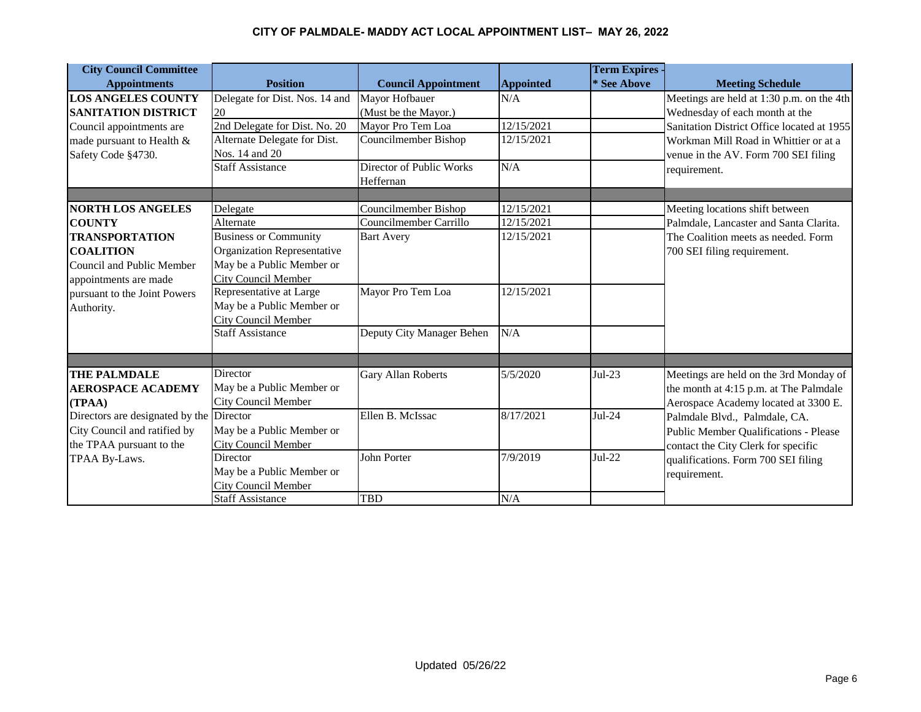| <b>City Council Committee</b>            |                                |                            |                  | <b>Term Expires -</b> |                                            |
|------------------------------------------|--------------------------------|----------------------------|------------------|-----------------------|--------------------------------------------|
| <b>Appointments</b>                      | <b>Position</b>                | <b>Council Appointment</b> | <b>Appointed</b> | * See Above           | <b>Meeting Schedule</b>                    |
| <b>LOS ANGELES COUNTY</b>                | Delegate for Dist. Nos. 14 and | Mayor Hofbauer             | N/A              |                       | Meetings are held at 1:30 p.m. on the 4th  |
| <b>SANITATION DISTRICT</b>               | 20                             | (Must be the Mayor.)       |                  |                       | Wednesday of each month at the             |
| Council appointments are                 | 2nd Delegate for Dist. No. 20  | Mayor Pro Tem Loa          | 12/15/2021       |                       | Sanitation District Office located at 1955 |
| made pursuant to Health &                | Alternate Delegate for Dist.   | Councilmember Bishop       | 12/15/2021       |                       | Workman Mill Road in Whittier or at a      |
| Safety Code §4730.                       | Nos. 14 and 20                 |                            |                  |                       | venue in the AV. Form 700 SEI filing       |
|                                          | <b>Staff Assistance</b>        | Director of Public Works   | N/A              |                       | requirement.                               |
|                                          |                                | Heffernan                  |                  |                       |                                            |
|                                          |                                |                            |                  |                       |                                            |
| <b>NORTH LOS ANGELES</b>                 | Delegate                       | Councilmember Bishop       | 12/15/2021       |                       | Meeting locations shift between            |
| <b>COUNTY</b>                            | Alternate                      | Councilmember Carrillo     | 12/15/2021       |                       | Palmdale, Lancaster and Santa Clarita.     |
| <b>TRANSPORTATION</b>                    | <b>Business or Community</b>   | <b>Bart Avery</b>          | 12/15/2021       |                       | The Coalition meets as needed. Form        |
| <b>COALITION</b>                         | Organization Representative    |                            |                  |                       | 700 SEI filing requirement.                |
| Council and Public Member                | May be a Public Member or      |                            |                  |                       |                                            |
| appointments are made                    | <b>City Council Member</b>     |                            |                  |                       |                                            |
| pursuant to the Joint Powers             | Representative at Large        | Mayor Pro Tem Loa          | 12/15/2021       |                       |                                            |
| Authority.                               | May be a Public Member or      |                            |                  |                       |                                            |
|                                          | <b>City Council Member</b>     |                            |                  |                       |                                            |
|                                          | <b>Staff Assistance</b>        | Deputy City Manager Behen  | N/A              |                       |                                            |
|                                          |                                |                            |                  |                       |                                            |
| <b>THE PALMDALE</b>                      | <b>Director</b>                | Gary Allan Roberts         | 5/5/2020         | Jul-23                | Meetings are held on the 3rd Monday of     |
| <b>AEROSPACE ACADEMY</b>                 | May be a Public Member or      |                            |                  |                       | the month at 4:15 p.m. at The Palmdale     |
| (TPAA)                                   | City Council Member            |                            |                  |                       | Aerospace Academy located at 3300 E.       |
| Directors are designated by the Director |                                | Ellen B. McIssac           | 8/17/2021        | Jul-24                | Palmdale Blvd., Palmdale, CA.              |
| City Council and ratified by             | May be a Public Member or      |                            |                  |                       | Public Member Qualifications - Please      |
| the TPAA pursuant to the                 | <b>City Council Member</b>     |                            |                  |                       | contact the City Clerk for specific        |
| TPAA By-Laws.                            | <b>Director</b>                | John Porter                | 7/9/2019         | $Jul-22$              | qualifications. Form 700 SEI filing        |
|                                          | May be a Public Member or      |                            |                  |                       | requirement.                               |
|                                          | <b>City Council Member</b>     |                            |                  |                       |                                            |
|                                          | <b>Staff Assistance</b>        | <b>TBD</b>                 | N/A              |                       |                                            |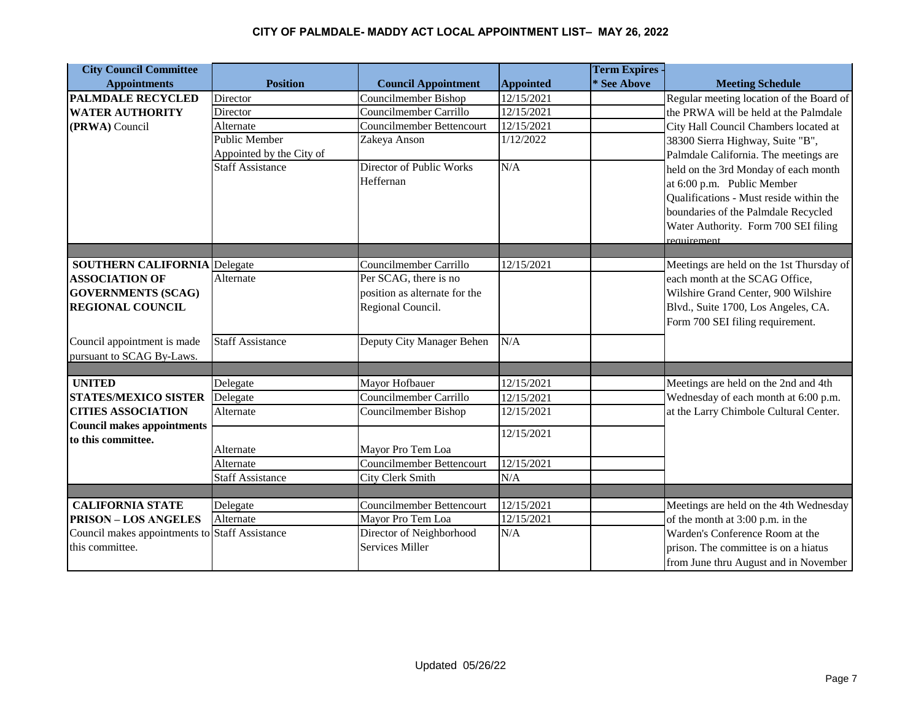| <b>City Council Committee</b>                  |                          |                               |                  | <b>Term Expires -</b> |                                          |
|------------------------------------------------|--------------------------|-------------------------------|------------------|-----------------------|------------------------------------------|
| <b>Appointments</b>                            | <b>Position</b>          | <b>Council Appointment</b>    | <b>Appointed</b> | * See Above           | <b>Meeting Schedule</b>                  |
| <b>PALMDALE RECYCLED</b>                       | Director                 | Councilmember Bishop          | 12/15/2021       |                       | Regular meeting location of the Board of |
| <b>WATER AUTHORITY</b>                         | Director                 | Councilmember Carrillo        | 12/15/2021       |                       | the PRWA will be held at the Palmdale    |
| (PRWA) Council                                 | Alternate                | Councilmember Bettencourt     | 12/15/2021       |                       | City Hall Council Chambers located at    |
|                                                | Public Member            | Zakeya Anson                  | 1/12/2022        |                       | 38300 Sierra Highway, Suite "B",         |
|                                                | Appointed by the City of |                               |                  |                       | Palmdale California. The meetings are    |
|                                                | <b>Staff Assistance</b>  | Director of Public Works      | N/A              |                       | held on the 3rd Monday of each month     |
|                                                |                          | Heffernan                     |                  |                       | at 6:00 p.m. Public Member               |
|                                                |                          |                               |                  |                       | Qualifications - Must reside within the  |
|                                                |                          |                               |                  |                       | boundaries of the Palmdale Recycled      |
|                                                |                          |                               |                  |                       | Water Authority. Form 700 SEI filing     |
|                                                |                          |                               |                  |                       | requirement                              |
|                                                |                          |                               |                  |                       |                                          |
| <b>SOUTHERN CALIFORNIA Delegate</b>            |                          | Councilmember Carrillo        | 12/15/2021       |                       | Meetings are held on the 1st Thursday of |
| <b>ASSOCIATION OF</b>                          | Alternate                | Per SCAG, there is no         |                  |                       | each month at the SCAG Office,           |
| <b>GOVERNMENTS (SCAG)</b>                      |                          | position as alternate for the |                  |                       | Wilshire Grand Center, 900 Wilshire      |
| <b>REGIONAL COUNCIL</b>                        |                          | Regional Council.             |                  |                       | Blvd., Suite 1700, Los Angeles, CA.      |
|                                                |                          |                               |                  |                       | Form 700 SEI filing requirement.         |
| Council appointment is made                    | <b>Staff Assistance</b>  | Deputy City Manager Behen     | N/A              |                       |                                          |
| pursuant to SCAG By-Laws.                      |                          |                               |                  |                       |                                          |
|                                                |                          |                               |                  |                       |                                          |
| <b>UNITED</b>                                  | Delegate                 | Mayor Hofbauer                | 12/15/2021       |                       | Meetings are held on the 2nd and 4th     |
| <b>STATES/MEXICO SISTER</b>                    | Delegate                 | Councilmember Carrillo        | 12/15/2021       |                       | Wednesday of each month at 6:00 p.m.     |
| <b>CITIES ASSOCIATION</b>                      | Alternate                | Councilmember Bishop          | 12/15/2021       |                       | at the Larry Chimbole Cultural Center.   |
| <b>Council makes appointments</b>              |                          |                               | 12/15/2021       |                       |                                          |
| to this committee.                             | Alternate                | Mayor Pro Tem Loa             |                  |                       |                                          |
|                                                | Alternate                | Councilmember Bettencourt     | 12/15/2021       |                       |                                          |
|                                                | <b>Staff Assistance</b>  | City Clerk Smith              | N/A              |                       |                                          |
|                                                |                          |                               |                  |                       |                                          |
| <b>CALIFORNIA STATE</b>                        | Delegate                 | Councilmember Bettencourt     | 12/15/2021       |                       | Meetings are held on the 4th Wednesday   |
| <b>PRISON - LOS ANGELES</b>                    | Alternate                | Mayor Pro Tem Loa             | 12/15/2021       |                       | of the month at 3:00 p.m. in the         |
| Council makes appointments to Staff Assistance |                          | Director of Neighborhood      | N/A              |                       | Warden's Conference Room at the          |
| this committee.                                |                          | <b>Services Miller</b>        |                  |                       | prison. The committee is on a hiatus     |
|                                                |                          |                               |                  |                       | from June thru August and in November    |
|                                                |                          |                               |                  |                       |                                          |

& December.